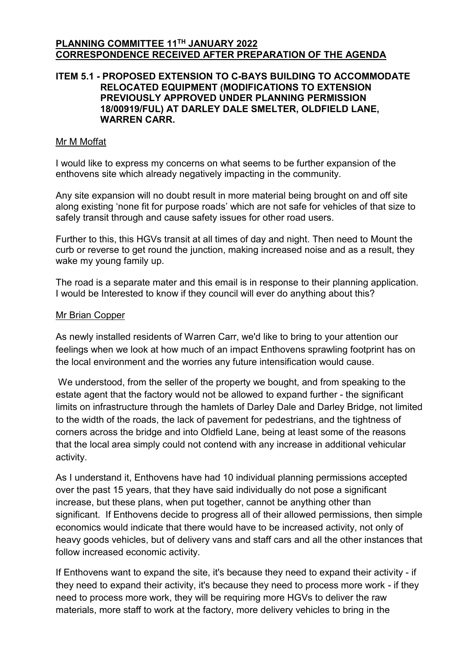### **PLANNING COMMITTEE 11 TH JANUARY 2022 CORRESPONDENCE RECEIVED AFTER PREPARATION OF THE AGENDA**

## **ITEM 5.1 - PROPOSED EXTENSION TO C-BAYS BUILDING TO ACCOMMODATE RELOCATED EQUIPMENT (MODIFICATIONS TO EXTENSION PREVIOUSLY APPROVED UNDER PLANNING PERMISSION 18/00919/FUL) AT DARLEY DALE SMELTER, OLDFIELD LANE, WARREN CARR.**

### Mr M Moffat

I would like to express my concerns on what seems to be further expansion of the enthovens site which already negatively impacting in the community.

Any site expansion will no doubt result in more material being brought on and off site along existing 'none fit for purpose roads' which are not safe for vehicles of that size to safely transit through and cause safety issues for other road users.

Further to this, this HGVs transit at all times of day and night. Then need to Mount the curb or reverse to get round the junction, making increased noise and as a result, they wake my young family up.

The road is a separate mater and this email is in response to their planning application. I would be Interested to know if they council will ever do anything about this?

### Mr Brian Copper

As newly installed residents of Warren Carr, we'd like to bring to your attention our feelings when we look at how much of an impact Enthovens sprawling footprint has on the local environment and the worries any future intensification would cause.

We understood, from the seller of the property we bought, and from speaking to the estate agent that the factory would not be allowed to expand further - the significant limits on infrastructure through the hamlets of Darley Dale and Darley Bridge, not limited to the width of the roads, the lack of pavement for pedestrians, and the tightness of corners across the bridge and into Oldfield Lane, being at least some of the reasons that the local area simply could not contend with any increase in additional vehicular activity.

As I understand it, Enthovens have had 10 individual planning permissions accepted over the past 15 years, that they have said individually do not pose a significant increase, but these plans, when put together, cannot be anything other than significant. If Enthovens decide to progress all of their allowed permissions, then simple economics would indicate that there would have to be increased activity, not only of heavy goods vehicles, but of delivery vans and staff cars and all the other instances that follow increased economic activity.

If Enthovens want to expand the site, it's because they need to expand their activity - if they need to expand their activity, it's because they need to process more work - if they need to process more work, they will be requiring more HGVs to deliver the raw materials, more staff to work at the factory, more delivery vehicles to bring in the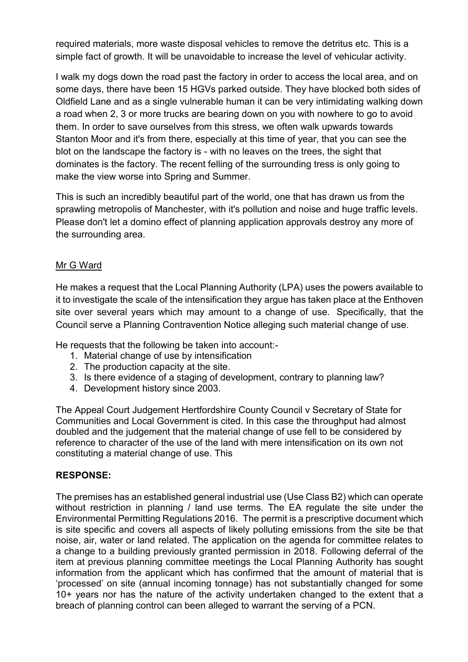required materials, more waste disposal vehicles to remove the detritus etc. This is a simple fact of growth. It will be unavoidable to increase the level of vehicular activity.

I walk my dogs down the road past the factory in order to access the local area, and on some days, there have been 15 HGVs parked outside. They have blocked both sides of Oldfield Lane and as a single vulnerable human it can be very intimidating walking down a road when 2, 3 or more trucks are bearing down on you with nowhere to go to avoid them. In order to save ourselves from this stress, we often walk upwards towards Stanton Moor and it's from there, especially at this time of year, that you can see the blot on the landscape the factory is - with no leaves on the trees, the sight that dominates is the factory. The recent felling of the surrounding tress is only going to make the view worse into Spring and Summer.

This is such an incredibly beautiful part of the world, one that has drawn us from the sprawling metropolis of Manchester, with it's pollution and noise and huge traffic levels. Please don't let a domino effect of planning application approvals destroy any more of the surrounding area.

## Mr G Ward

He makes a request that the Local Planning Authority (LPA) uses the powers available to it to investigate the scale of the intensification they argue has taken place at the Enthoven site over several years which may amount to a change of use. Specifically, that the Council serve a Planning Contravention Notice alleging such material change of use.

He requests that the following be taken into account:-

- 1. Material change of use by intensification
- 2. The production capacity at the site.
- 3. Is there evidence of a staging of development, contrary to planning law?
- 4. Development history since 2003.

The Appeal Court Judgement Hertfordshire County Council v Secretary of State for Communities and Local Government is cited. In this case the throughput had almost doubled and the judgement that the material change of use fell to be considered by reference to character of the use of the land with mere intensification on its own not constituting a material change of use. This

## **RESPONSE:**

The premises has an established general industrial use (Use Class B2) which can operate without restriction in planning / land use terms. The EA regulate the site under the Environmental Permitting Regulations 2016. The permit is a prescriptive document which is site specific and covers all aspects of likely polluting emissions from the site be that noise, air, water or land related. The application on the agenda for committee relates to a change to a building previously granted permission in 2018. Following deferral of the item at previous planning committee meetings the Local Planning Authority has sought information from the applicant which has confirmed that the amount of material that is 'processed' on site (annual incoming tonnage) has not substantially changed for some 10+ years nor has the nature of the activity undertaken changed to the extent that a breach of planning control can been alleged to warrant the serving of a PCN.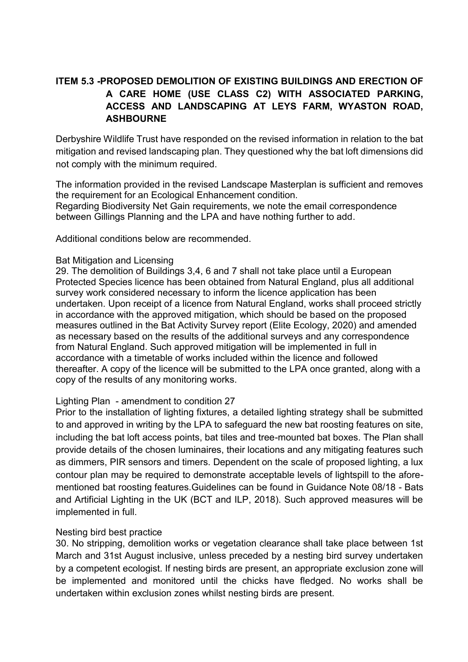# **ITEM 5.3 -PROPOSED DEMOLITION OF EXISTING BUILDINGS AND ERECTION OF A CARE HOME (USE CLASS C2) WITH ASSOCIATED PARKING, ACCESS AND LANDSCAPING AT LEYS FARM, WYASTON ROAD, ASHBOURNE**

Derbyshire Wildlife Trust have responded on the revised information in relation to the bat mitigation and revised landscaping plan. They questioned why the bat loft dimensions did not comply with the minimum required.

The information provided in the revised Landscape Masterplan is sufficient and removes the requirement for an Ecological Enhancement condition. Regarding Biodiversity Net Gain requirements, we note the email correspondence between Gillings Planning and the LPA and have nothing further to add.

Additional conditions below are recommended.

## Bat Mitigation and Licensing

29. The demolition of Buildings 3,4, 6 and 7 shall not take place until a European Protected Species licence has been obtained from Natural England, plus all additional survey work considered necessary to inform the licence application has been undertaken. Upon receipt of a licence from Natural England, works shall proceed strictly in accordance with the approved mitigation, which should be based on the proposed measures outlined in the Bat Activity Survey report (Elite Ecology, 2020) and amended as necessary based on the results of the additional surveys and any correspondence from Natural England. Such approved mitigation will be implemented in full in accordance with a timetable of works included within the licence and followed thereafter. A copy of the licence will be submitted to the LPA once granted, along with a copy of the results of any monitoring works.

## Lighting Plan - amendment to condition 27

Prior to the installation of lighting fixtures, a detailed lighting strategy shall be submitted to and approved in writing by the LPA to safeguard the new bat roosting features on site, including the bat loft access points, bat tiles and tree-mounted bat boxes. The Plan shall provide details of the chosen luminaires, their locations and any mitigating features such as dimmers, PIR sensors and timers. Dependent on the scale of proposed lighting, a lux contour plan may be required to demonstrate acceptable levels of lightspill to the aforementioned bat roosting features.Guidelines can be found in Guidance Note 08/18 - Bats and Artificial Lighting in the UK (BCT and ILP, 2018). Such approved measures will be implemented in full.

## Nesting bird best practice

30. No stripping, demolition works or vegetation clearance shall take place between 1st March and 31st August inclusive, unless preceded by a nesting bird survey undertaken by a competent ecologist. If nesting birds are present, an appropriate exclusion zone will be implemented and monitored until the chicks have fledged. No works shall be undertaken within exclusion zones whilst nesting birds are present.